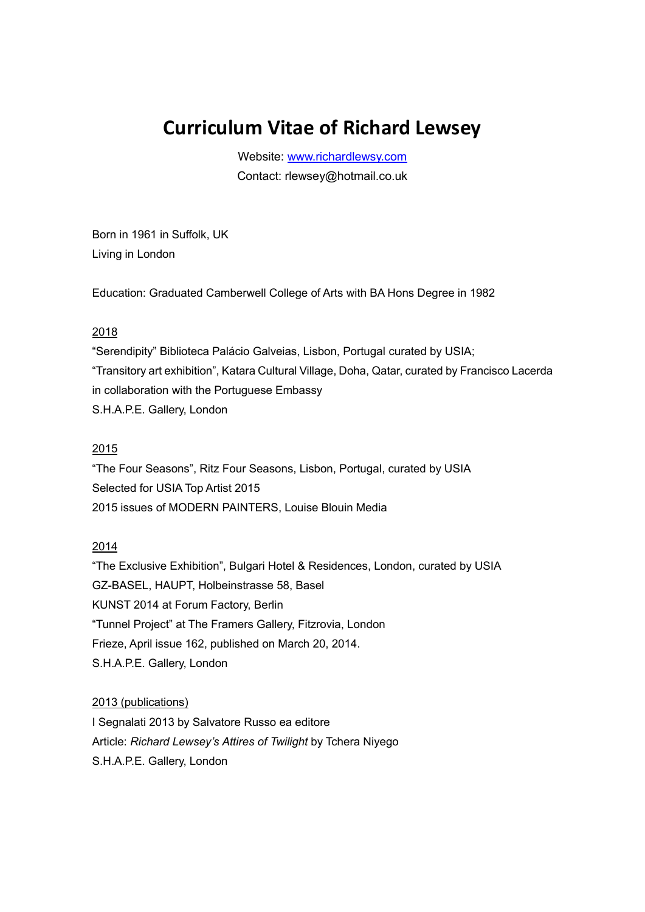# **Curriculum Vitae of Richard Lewsey**

Website: [www.richardlewsy.com](http://www.richardlewsy.com/) Contact: rlewsey@hotmail.co.uk

Born in 1961 in Suffolk, UK Living in London

Education: Graduated Camberwell College of Arts with BA Hons Degree in 1982

## 2018

"Serendipity" Biblioteca Palácio Galveias, Lisbon, Portugal curated by USIA; "Transitory art exhibition", Katara Cultural Village, Doha, Qatar, curated by Francisco Lacerda in collaboration with the Portuguese Embassy S.H.A.P.E. Gallery, London

## 2015

"The Four Seasons", Ritz Four Seasons, Lisbon, Portugal, curated by USIA Selected for USIA Top Artist 2015 2015 issues of MODERN PAINTERS, Louise Blouin Media

#### 2014

"The Exclusive Exhibition", Bulgari Hotel & Residences, London, curated by USIA GZ-BASEL, HAUPT, Holbeinstrasse 58, Basel KUNST 2014 at Forum Factory, Berlin "Tunnel Project" at The Framers Gallery, Fitzrovia, London Frieze, April issue 162, published on March 20, 2014. S.H.A.P.E. Gallery, London

#### 2013 (publications)

I Segnalati 2013 by Salvatore Russo ea editore Article: *Richard Lewsey's Attires of Twilight* by Tchera Niyego S.H.A.P.E. Gallery, London